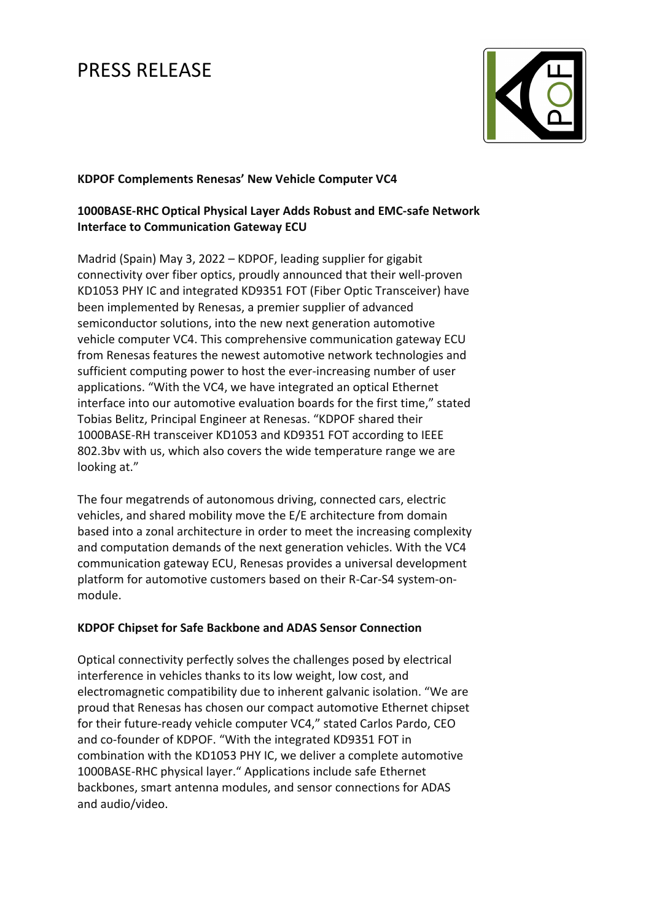

## **KDPOF Complements Renesas' New Vehicle Computer VC4**

# **1000BASE-RHC Optical Physical Layer Adds Robust and EMC-safe Network Interface to Communication Gateway ECU**

Madrid (Spain) May 3, 2022 – KDPOF, leading supplier for gigabit connectivity over fiber optics, proudly announced that their well-proven KD1053 PHY IC and integrated KD9351 FOT (Fiber Optic Transceiver) have been implemented by Renesas, a premier supplier of advanced semiconductor solutions, into the new next generation automotive vehicle computer VC4. This comprehensive communication gateway ECU from Renesas features the newest automotive network technologies and sufficient computing power to host the ever-increasing number of user applications. "With the VC4, we have integrated an optical Ethernet interface into our automotive evaluation boards for the first time," stated Tobias Belitz, Principal Engineer at Renesas. "KDPOF shared their 1000BASE-RH transceiver KD1053 and KD9351 FOT according to IEEE 802.3bv with us, which also covers the wide temperature range we are looking at."

The four megatrends of autonomous driving, connected cars, electric vehicles, and shared mobility move the E/E architecture from domain based into a zonal architecture in order to meet the increasing complexity and computation demands of the next generation vehicles. With the VC4 communication gateway ECU, Renesas provides a universal development platform for automotive customers based on their R-Car-S4 system-onmodule.

## **KDPOF Chipset for Safe Backbone and ADAS Sensor Connection**

Optical connectivity perfectly solves the challenges posed by electrical interference in vehicles thanks to its low weight, low cost, and electromagnetic compatibility due to inherent galvanic isolation. "We are proud that Renesas has chosen our compact automotive Ethernet chipset for their future-ready vehicle computer VC4," stated Carlos Pardo, CEO and co-founder of KDPOF. "With the integrated KD9351 FOT in combination with the KD1053 PHY IC, we deliver a complete automotive 1000BASE-RHC physical layer." Applications include safe Ethernet backbones, smart antenna modules, and sensor connections for ADAS and audio/video.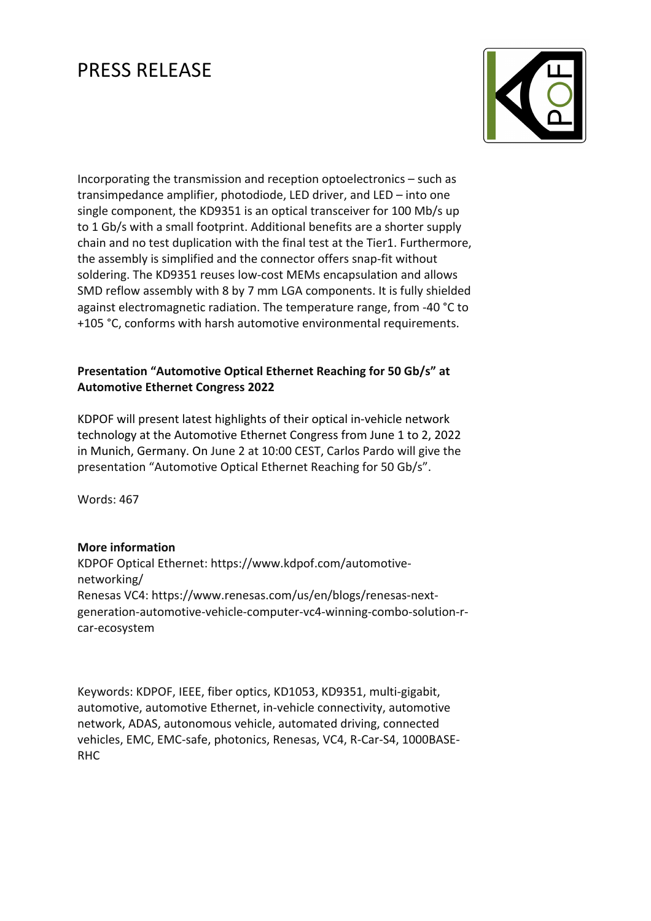

Incorporating the transmission and reception optoelectronics – such as transimpedance amplifier, photodiode, LED driver, and LED – into one single component, the KD9351 is an optical transceiver for 100 Mb/s up to 1 Gb/s with a small footprint. Additional benefits are a shorter supply chain and no test duplication with the final test at the Tier1. Furthermore, the assembly is simplified and the connector offers snap-fit without soldering. The KD9351 reuses low-cost MEMs encapsulation and allows SMD reflow assembly with 8 by 7 mm LGA components. It is fully shielded against electromagnetic radiation. The temperature range, from -40 °C to +105 °C, conforms with harsh automotive environmental requirements.

## **Presentation "Automotive Optical Ethernet Reaching for 50 Gb/s" at Automotive Ethernet Congress 2022**

KDPOF will present latest highlights of their optical in-vehicle network technology at the Automotive Ethernet Congress from June 1 to 2, 2022 in Munich, Germany. On June 2 at 10:00 CEST, Carlos Pardo will give the presentation "Automotive Optical Ethernet Reaching for 50 Gb/s".

Words: 467

## **More information**

KDPOF Optical Ethernet: https://www.kdpof.com/automotivenetworking/ Renesas VC4: https://www.renesas.com/us/en/blogs/renesas-nextgeneration-automotive-vehicle-computer-vc4-winning-combo-solution-rcar-ecosystem

Keywords: KDPOF, IEEE, fiber optics, KD1053, KD9351, multi-gigabit, automotive, automotive Ethernet, in-vehicle connectivity, automotive network, ADAS, autonomous vehicle, automated driving, connected vehicles, EMC, EMC-safe, photonics, Renesas, VC4, R-Car-S4, 1000BASE-RHC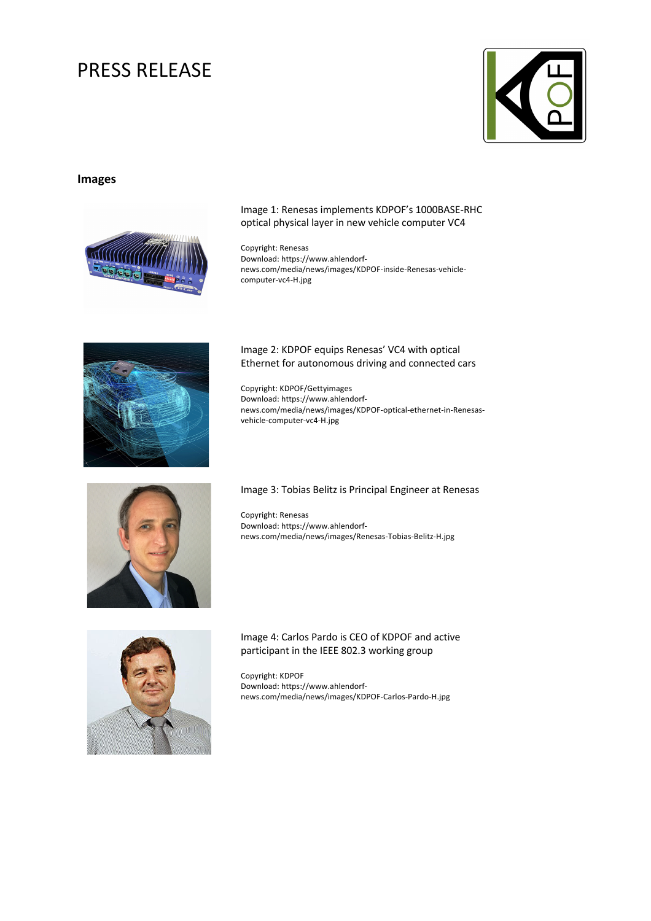

## **Images**



### Image 1: Renesas implements KDPOF's 1000BASE-RHC optical physical layer in new vehicle computer VC4

Copyright: Renesas Download: https://www.ahlendorfnews.com/media/news/images/KDPOF-inside-Renesas-vehiclecomputer-vc4-H.jpg



### Image 2: KDPOF equips Renesas' VC4 with optical Ethernet for autonomous driving and connected cars

Copyright: KDPOF/Gettyimages Download: https://www.ahlendorfnews.com/media/news/images/KDPOF-optical-ethernet-in-Renesasvehicle-computer-vc4-H.jpg



### Image 3: Tobias Belitz is Principal Engineer at Renesas

Copyright: Renesas Download: https://www.ahlendorfnews.com/media/news/images/Renesas-Tobias-Belitz-H.jpg



### Image 4: Carlos Pardo is CEO of KDPOF and active participant in the IEEE 802.3 working group

Copyright: KDPOF Download: https://www.ahlendorfnews.com/media/news/images/KDPOF-Carlos-Pardo-H.jpg